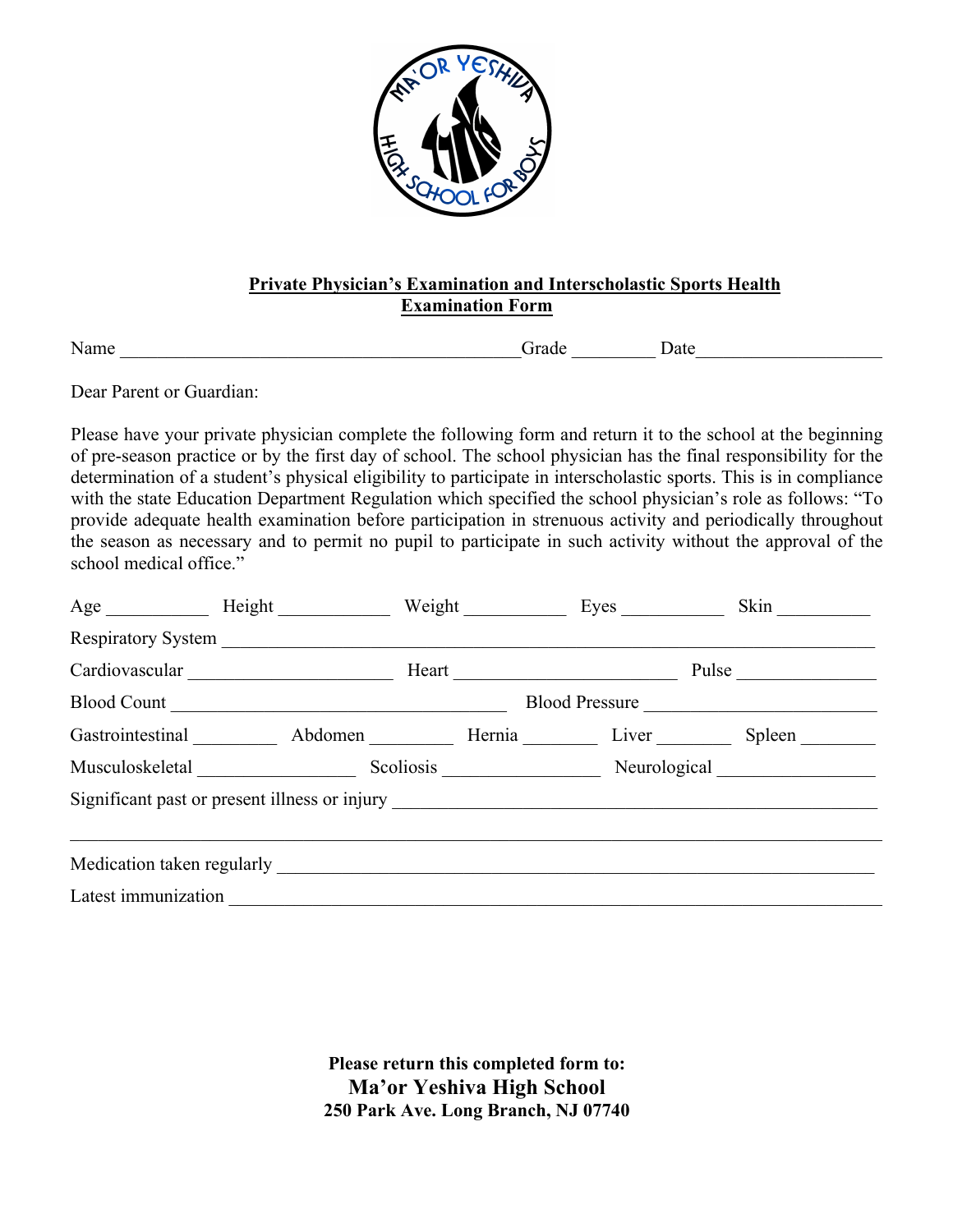

## **Private Physician's Examination and Interscholastic Sports Health Examination Form**

Name **Date Crack Crack Crack Crack Crack C** 

Dear Parent or Guardian:

Please have your private physician complete the following form and return it to the school at the beginning of pre-season practice or by the first day of school. The school physician has the final responsibility for the determination of a student's physical eligibility to participate in interscholastic sports. This is in compliance with the state Education Department Regulation which specified the school physician's role as follows: "To provide adequate health examination before participation in strenuous activity and periodically throughout the season as necessary and to permit no pupil to participate in such activity without the approval of the school medical office."

|                     | Age Height                                                                        |  | Weight Eyes | Skin                                         |
|---------------------|-----------------------------------------------------------------------------------|--|-------------|----------------------------------------------|
|                     |                                                                                   |  |             |                                              |
|                     | Cardiovascular                                                                    |  |             | Pulse                                        |
|                     | Blood Count                                                                       |  |             | Blood Pressure                               |
|                     |                                                                                   |  |             | Gastrointestinal Abdomen Hernia Liver Spleen |
|                     | Musculoskeletal                                                                   |  |             | Scoliosis Neurological Neurological          |
|                     | Significant past or present illness or injury ___________________________________ |  |             |                                              |
|                     |                                                                                   |  |             |                                              |
|                     |                                                                                   |  |             |                                              |
| Latest immunization |                                                                                   |  |             |                                              |

**Please return this completed form to: Ma'or Yeshiva High School 250 Park Ave. Long Branch, NJ 07740**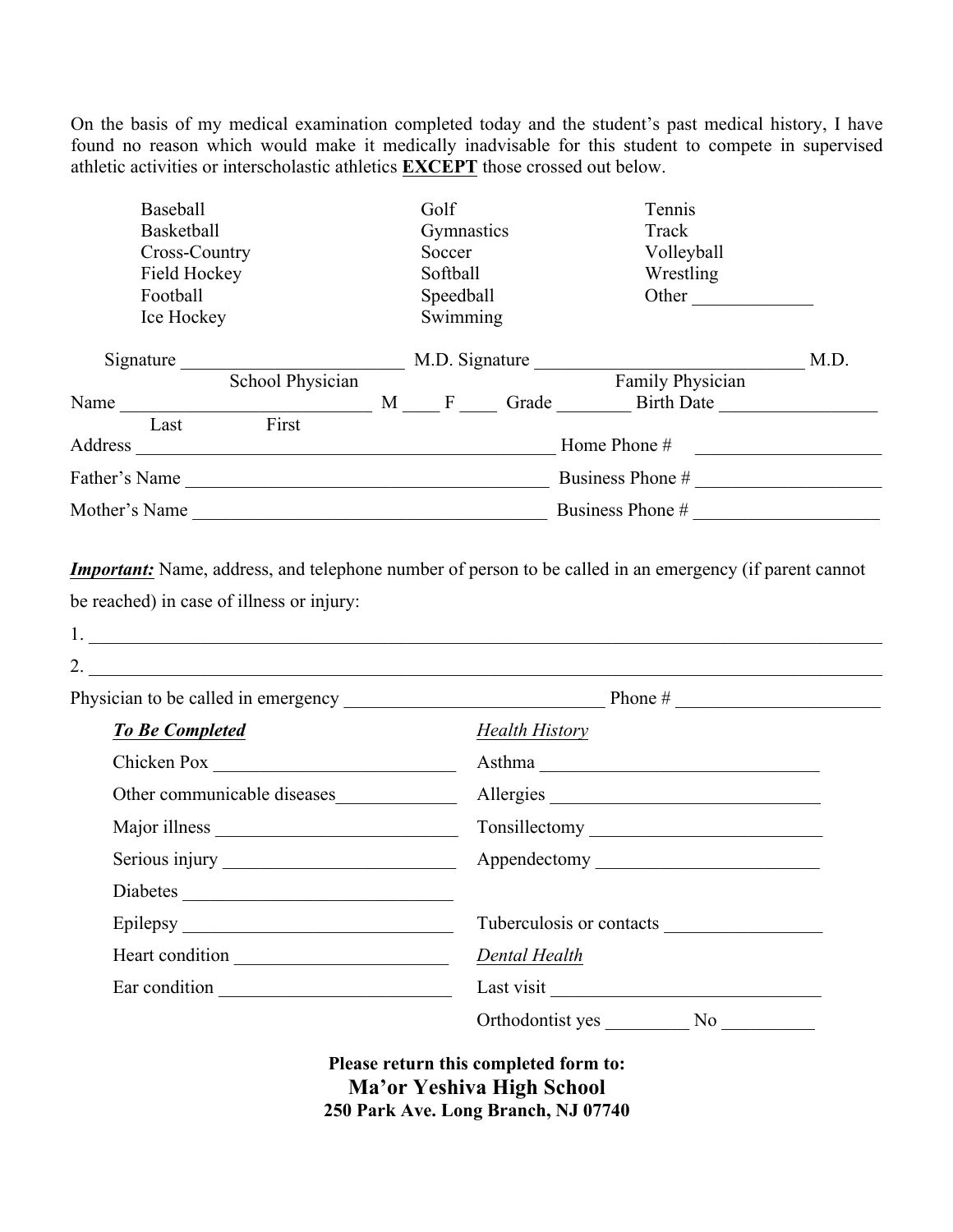On the basis of my medical examination completed today and the student's past medical history, I have found no reason which would make it medically inadvisable for this student to compete in supervised athletic activities or interscholastic athletics **EXCEPT** those crossed out below.

| Baseball         |  | Golf           |       | Tennis            |      |
|------------------|--|----------------|-------|-------------------|------|
| Basketball       |  | Gymnastics     |       | Track             |      |
| Cross-Country    |  | Soccer         |       | Volleyball        |      |
| Field Hockey     |  | Softball       |       | Wrestling         |      |
| Football         |  | Speedball      |       | Other             |      |
| Ice Hockey       |  | Swimming       |       |                   |      |
| Signature        |  | M.D. Signature |       |                   | M.D. |
| School Physician |  |                |       | Family Physician  |      |
| Name             |  | F<br>M         | Grade | <b>Birth Date</b> |      |
| First<br>Last    |  |                |       |                   |      |
| Address          |  |                |       | Home Phone #      |      |
| Father's Name    |  |                |       | Business Phone #  |      |
| Mother's Name    |  |                |       | Business Phone #  |      |

*Important:* Name, address, and telephone number of person to be called in an emergency (if parent cannot be reached) in case of illness or injury:

| <b>To Be Completed</b>      | <b>Health History</b>              |
|-----------------------------|------------------------------------|
| Chicken Pox                 | Asthma                             |
| Other communicable diseases | Allergies                          |
|                             |                                    |
|                             |                                    |
| Diabetes                    |                                    |
| Epilepsy                    | Tuberculosis or contacts           |
| Heart condition             | Dental Health                      |
| Ear condition               |                                    |
|                             | Orthodontist yes<br>N <sub>0</sub> |

**Please return this completed form to: Ma'or Yeshiva High School 250 Park Ave. Long Branch, NJ 07740**